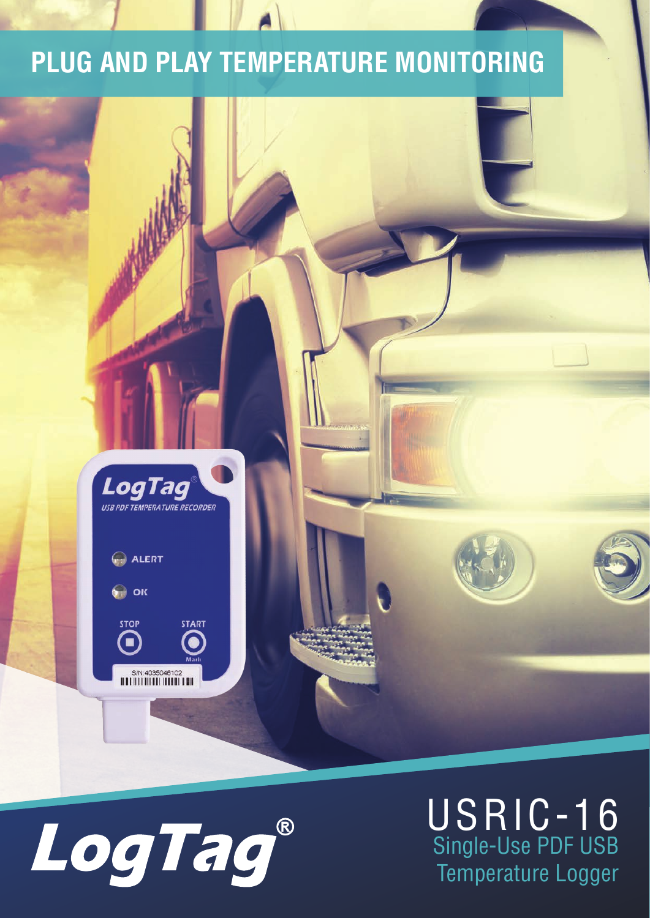#### **PLUG AND PLAY TEMPERATURE MONITORING**





#### USRIC-16 Single-Use PDF USB Temperature Logger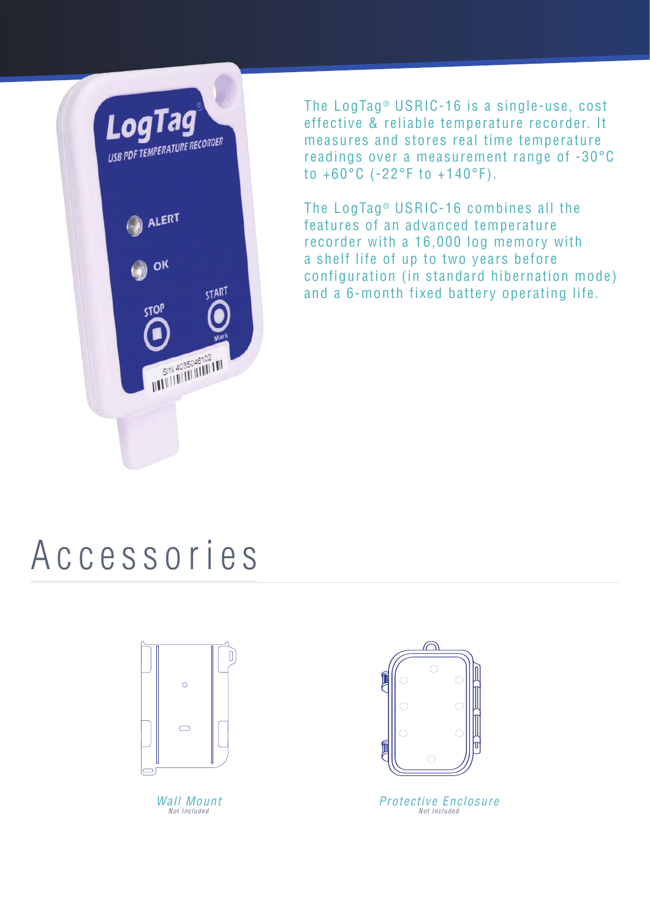

The LogTag<sup>®</sup> USRIC-16 is a single-use, cost effective & reliable temperature recorder. It measures and stores real time temperature readings over a measurement range of -30°C to +60°C (-22°F to +140°F).

The LogTag<sup>®</sup> USRIC-16 combines all the features of an advanced temperature recorder with a 16,000 log memory with a shelf life of up to two years before configuration (in standard hibernation mode) and a 6-month fixed battery operating life.

### Accessories



Wall Mount Not Included



Protective Enclosure Not Included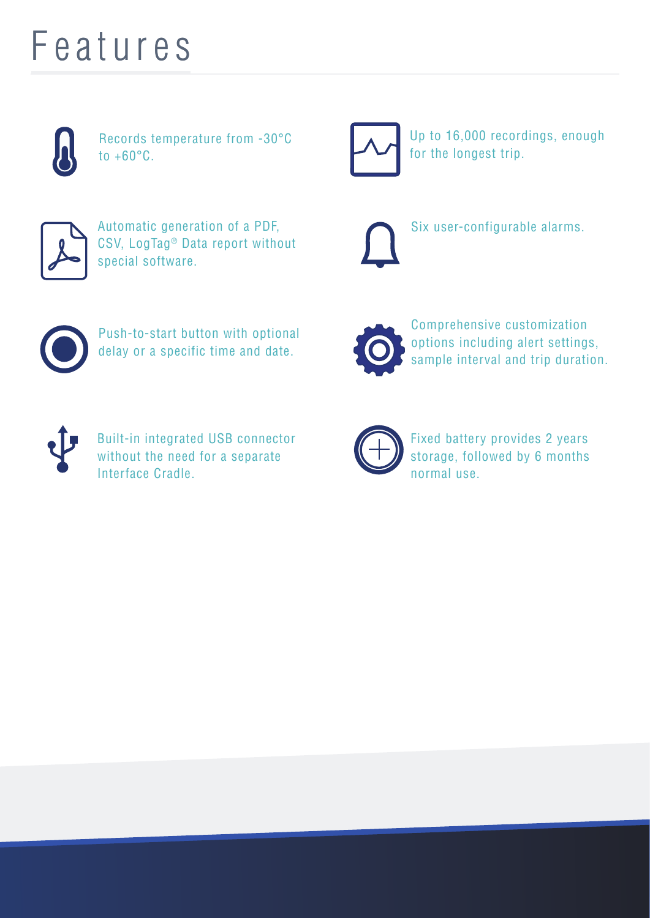### Features



Records temperature from -30°C to +60°C.



Up to 16,000 recordings, enough for the longest trip.



Automatic generation of a PDF, CSV, LogTag® Data report without special software.



Six user-configurable alarms.



Push-to-start button with optional delay or a specific time and date.



Comprehensive customization options including alert settings, sample interval and trip duration.



Built-in integrated USB connector without the need for a separate Interface Cradle.



Fixed battery provides 2 years storage, followed by 6 months normal use.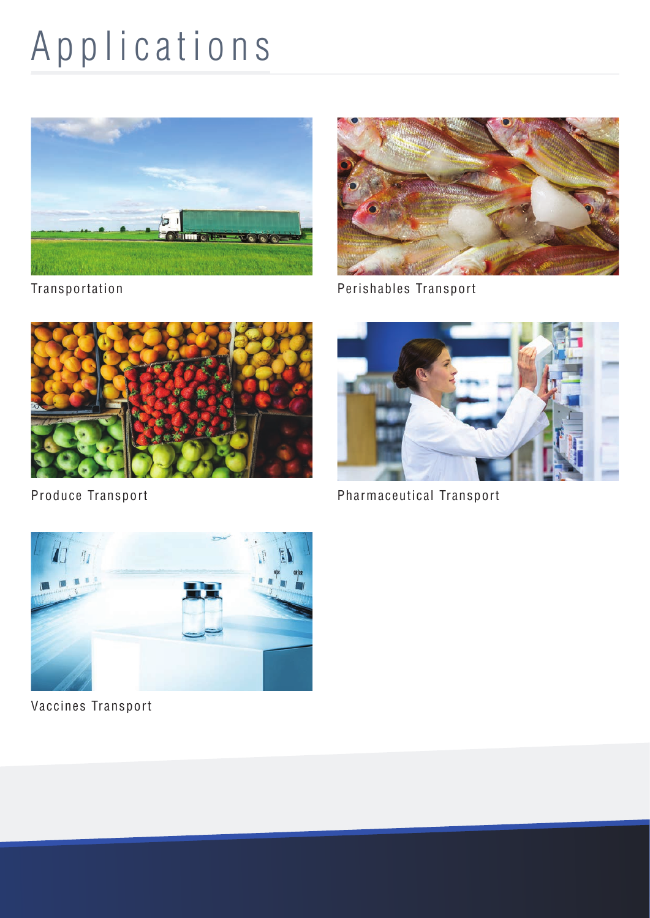# Applications



Transportation



Perishables Transport



Produce Transport



Pharmaceutical Transport



Vaccines Transport